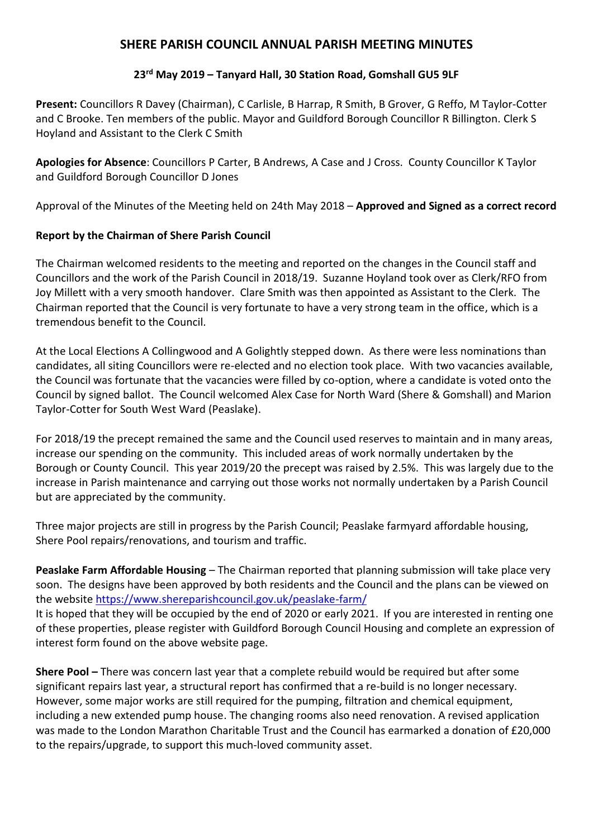## **SHERE PARISH COUNCIL ANNUAL PARISH MEETING MINUTES**

## **23 rd May 2019 – Tanyard Hall, 30 Station Road, Gomshall GU5 9LF**

**Present:** Councillors R Davey (Chairman), C Carlisle, B Harrap, R Smith, B Grover, G Reffo, M Taylor-Cotter and C Brooke. Ten members of the public. Mayor and Guildford Borough Councillor R Billington. Clerk S Hoyland and Assistant to the Clerk C Smith

**Apologies for Absence**: Councillors P Carter, B Andrews, A Case and J Cross. County Councillor K Taylor and Guildford Borough Councillor D Jones

Approval of the Minutes of the Meeting held on 24th May 2018 – **Approved and Signed as a correct record** 

## **Report by the Chairman of Shere Parish Council**

The Chairman welcomed residents to the meeting and reported on the changes in the Council staff and Councillors and the work of the Parish Council in 2018/19. Suzanne Hoyland took over as Clerk/RFO from Joy Millett with a very smooth handover. Clare Smith was then appointed as Assistant to the Clerk. The Chairman reported that the Council is very fortunate to have a very strong team in the office, which is a tremendous benefit to the Council.

At the Local Elections A Collingwood and A Golightly stepped down. As there were less nominations than candidates, all siting Councillors were re-elected and no election took place. With two vacancies available, the Council was fortunate that the vacancies were filled by co-option, where a candidate is voted onto the Council by signed ballot. The Council welcomed Alex Case for North Ward (Shere & Gomshall) and Marion Taylor-Cotter for South West Ward (Peaslake).

For 2018/19 the precept remained the same and the Council used reserves to maintain and in many areas, increase our spending on the community. This included areas of work normally undertaken by the Borough or County Council. This year 2019/20 the precept was raised by 2.5%. This was largely due to the increase in Parish maintenance and carrying out those works not normally undertaken by a Parish Council but are appreciated by the community.

Three major projects are still in progress by the Parish Council; Peaslake farmyard affordable housing, Shere Pool repairs/renovations, and tourism and traffic.

**Peaslake Farm Affordable Housing** – The Chairman reported that planning submission will take place very soon. The designs have been approved by both residents and the Council and the plans can be viewed on the website<https://www.shereparishcouncil.gov.uk/peaslake-farm/> It is hoped that they will be occupied by the end of 2020 or early 2021. If you are interested in renting one of these properties, please register with Guildford Borough Council Housing and complete an expression of interest form found on the above website page.

**Shere Pool –** There was concern last year that a complete rebuild would be required but after some significant repairs last year, a structural report has confirmed that a re-build is no longer necessary. However, some major works are still required for the pumping, filtration and chemical equipment, including a new extended pump house. The changing rooms also need renovation. A revised application was made to the London Marathon Charitable Trust and the Council has earmarked a donation of £20,000 to the repairs/upgrade, to support this much-loved community asset.